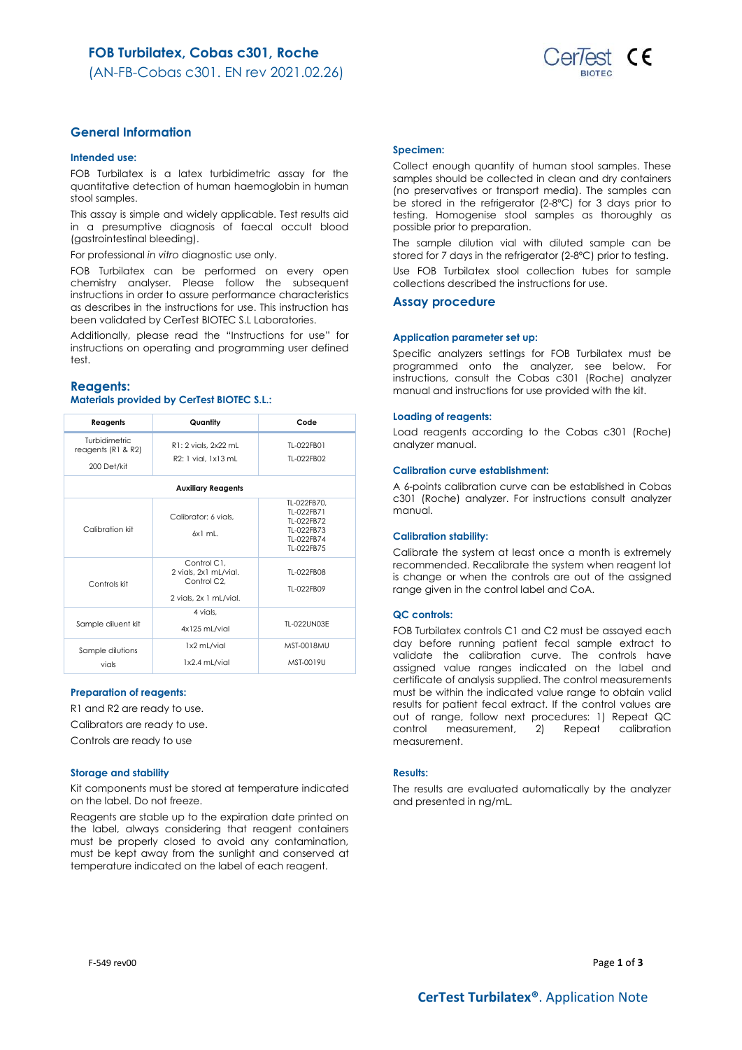

# **General Information**

### **Intended use:**

FOB Turbilatex is a latex turbidimetric assay for the quantitative detection of human haemoglobin in human stool samples.

This assay is simple and widely applicable. Test results aid in a presumptive diagnosis of faecal occult blood (gastrointestinal bleeding).

For professional *in vitro* diagnostic use only.

FOB Turbilatex can be performed on every open chemistry analyser. Please follow the subsequent instructions in order to assure performance characteristics as describes in the instructions for use. This instruction has been validated by CerTest BIOTEC S.L Laboratories.

Additionally, please read the "Instructions for use" for instructions on operating and programming user defined test.

### **Reagents:**

### **Materials provided by CerTest BIOTEC S.L.:**

| Reagents                                                        | Quantity                                                                                   | Code                                                                              |
|-----------------------------------------------------------------|--------------------------------------------------------------------------------------------|-----------------------------------------------------------------------------------|
| <b>Turbidimetric</b><br>reagents ( $R1$ & $R2$ )<br>200 Det/kit | R1: 2 vials, 2x22 mL<br>R2: 1 vial. 1x13 mL                                                | TI-022FB01<br>TI-022FB02                                                          |
|                                                                 | <b>Auxiliary Reagents</b>                                                                  |                                                                                   |
| Calibration kit                                                 | Calibrator: 6 vials.<br>$6x1$ ml.                                                          | TL-022FB70,<br>TI-022FB71<br>TI-022FB72<br>TI-022FB73<br>TI-022FB74<br>TI-022FB75 |
| Controls kit                                                    | Control C1.<br>2 vials, 2x1 mL/vial.<br>Control C <sub>2</sub> .<br>2 vials, 2x 1 mL/vial. | TI-022FB08<br>TI-022FB09                                                          |
| Sample diluent kit                                              | 4 vials.<br>4x125 mL/vial                                                                  | TI-022UN03F                                                                       |
| Sample dilutions<br>vials                                       | 1x2 mL/vial<br>1x2.4 mL/vial                                                               | <b>MST-0018MU</b><br>MST-0019U                                                    |

#### **Preparation of reagents:**

R1 and R2 are ready to use.

Calibrators are ready to use.

Controls are ready to use

### **Storage and stability**

Kit components must be stored at temperature indicated on the label. Do not freeze.

Reagents are stable up to the expiration date printed on the label, always considering that reagent containers must be properly closed to avoid any contamination, must be kept away from the sunlight and conserved at temperature indicated on the label of each reagent.

### **Specimen:**

Collect enough quantity of human stool samples. These samples should be collected in clean and dry containers (no preservatives or transport media). The samples can be stored in the refrigerator (2-8ºC) for 3 days prior to testing. Homogenise stool samples as thoroughly as possible prior to preparation.

The sample dilution vial with diluted sample can be stored for 7 days in the refrigerator (2-8°C) prior to testing.

Use FOB Turbilatex stool collection tubes for sample collections described the instructions for use.

### **Assay procedure**

#### **Application parameter set up:**

Specific analyzers settings for FOB Turbilatex must be programmed onto the analyzer, see below. For instructions, consult the Cobas c301 (Roche) analyzer manual and instructions for use provided with the kit.

#### **Loading of reagents:**

Load reagents according to the Cobas c301 (Roche) analyzer manual.

### **Calibration curve establishment:**

A 6-points calibration curve can be established in Cobas c301 (Roche) analyzer. For instructions consult analyzer manual.

#### **Calibration stability:**

Calibrate the system at least once a month is extremely recommended. Recalibrate the system when reagent lot is change or when the controls are out of the assigned range given in the control label and CoA.

#### **QC controls:**

FOB Turbilatex controls C1 and C2 must be assayed each day before running patient fecal sample extract to validate the calibration curve. The controls have assigned value ranges indicated on the label and certificate of analysis supplied. The control measurements must be within the indicated value range to obtain valid results for patient fecal extract. If the control values are out of range, follow next procedures: 1) Repeat QC control measurement, 2) Repeat calibration measurement.

### **Results:**

The results are evaluated automatically by the analyzer and presented in ng/mL.

F-549 rev00 Page **1** of **3**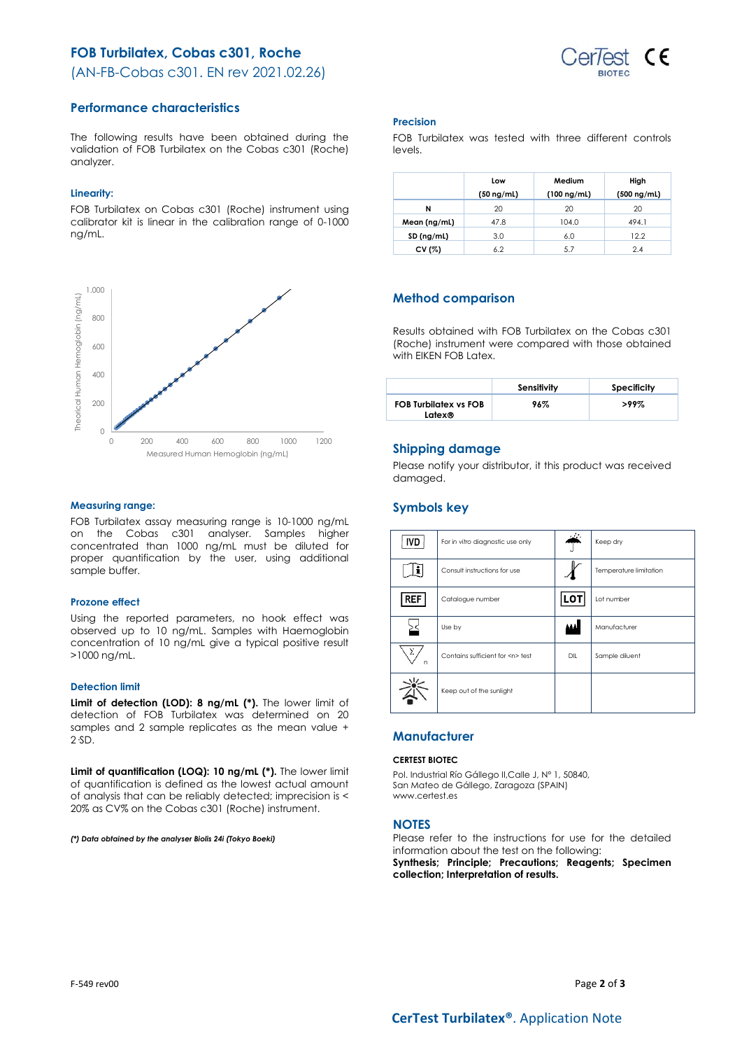# **FOB Turbilatex, Cobas c301, Roche**



(AN-FB-Cobas c301. EN rev 2021.02.26)

## **Performance characteristics**

The following results have been obtained during the validation of FOB Turbilatex on the Cobas c301 (Roche) analyzer.

### **Linearity:**

FOB Turbilatex on Cobas c301 (Roche) instrument using calibrator kit is linear in the calibration range of 0-1000 ng/mL.



### **Measuring range:**

FOB Turbilatex assay measuring range is 10-1000 ng/mL on the Cobas c301 analyser. Samples higher concentrated than 1000 ng/mL must be diluted for proper quantification by the user, using additional sample buffer.

### **Prozone effect**

Using the reported parameters, no hook effect was observed up to 10 ng/mL. Samples with Haemoglobin concentration of 10 ng/mL give a typical positive result >1000 ng/mL.

### **Detection limit**

**Limit of detection (LOD): 8 ng/mL (\*).** The lower limit of detection of FOB Turbilatex was determined on 20 samples and 2 sample replicates as the mean value + 2·SD.

**Limit of quantification (LOQ): 10 ng/mL (\*).** The lower limit of quantification is defined as the lowest actual amount of analysis that can be reliably detected; imprecision is < 20% as CV% on the Cobas c301 (Roche) instrument.

*(\*) Data obtained by the analyser Biolis 24i (Tokyo Boeki)*

### **Precision**

FOB Turbilatex was tested with three different controls levels.

|              | Low<br>$(50 \nmid mL)$ | Medium<br>$(100 \nmid mL)$ | High<br>$(500 \nmid mL)$ |
|--------------|------------------------|----------------------------|--------------------------|
| N            | 20                     | 20                         | 20                       |
| Mean (ng/mL) | 47.8                   | 104.0                      | 494.1                    |
| SD (ng/ml)   | 3.0                    | 6.0                        | 12.2                     |
| CV (%)       | 6.2                    | 5.7                        | 2.4                      |

# **Method comparison**

Results obtained with FOB Turbilatex on the Cobas c301 (Roche) instrument were compared with those obtained with EIKEN FOB Latex.

|                                        | Sensitivity | Specificity |
|----------------------------------------|-------------|-------------|
| <b>FOB Turbilatex vs FOB</b><br>Latex® | 96%         | $>99\%$     |

## **Shipping damage**

Please notify your distributor, it this product was received damaged.

# **Symbols key**

| <b>IVD</b> | For in vitro diagnostic use only     |     | Keep dry               |
|------------|--------------------------------------|-----|------------------------|
|            | Consult instructions for use         |     | Temperature limitation |
| <b>REF</b> | Catalogue number                     | LOT | Lot number             |
|            | Use by                               |     | Manufacturer           |
| Σ<br>n     | Contains sufficient for <n> test</n> | DIL | Sample diluent         |
|            | Keep out of the sunlight             |     |                        |

# **Manufacturer**

### **CERTEST BIOTEC**

Pol. Industrial Río Gállego II,Calle J, Nº 1, 50840, San Mateo de Gállego, Zaragoza (SPAIN) www.certest.es

### **NOTES**

Please refer to the instructions for use for the detailed information about the test on the following:

**Synthesis; Principle; Precautions; Reagents; Specimen collection; Interpretation of results.**